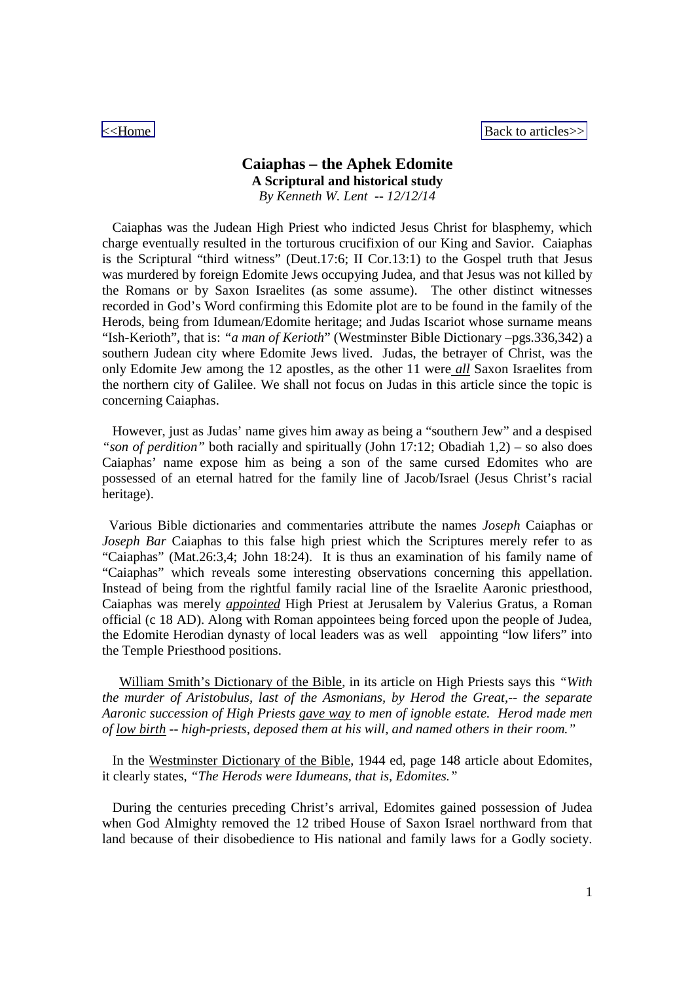[<<Home](http://ezra98.yolasite.com/) [Back to articles>>](http://ezra98.yolasite.com/articles.php)

# **Caiaphas – the Aphek Edomite A Scriptural and historical study** *By Kenneth W. Lent -- 12/12/14*

Caiaphas was the Judean High Priest who indicted Jesus Christ for blasphemy, which charge eventually resulted in the torturous crucifixion of our King and Savior. Caiaphas is the Scriptural "third witness" (Deut.17:6; II Cor.13:1) to the Gospel truth that Jesus was murdered by foreign Edomite Jews occupying Judea, and that Jesus was not killed by the Romans or by Saxon Israelites (as some assume). The other distinct witnesses recorded in God's Word confirming this Edomite plot are to be found in the family of the Herods, being from Idumean/Edomite heritage; and Judas Iscariot whose surname means "Ish-Kerioth", that is: *"a man of Kerioth*" (Westminster Bible Dictionary –pgs.336,342) a southern Judean city where Edomite Jews lived. Judas, the betrayer of Christ, was the only Edomite Jew among the 12 apostles, as the other 11 were *all* Saxon Israelites from the northern city of Galilee. We shall not focus on Judas in this article since the topic is concerning Caiaphas.

However, just as Judas' name gives him away as being a "southern Jew" and a despised *"son of perdition"* both racially and spiritually (John 17:12; Obadiah 1,2) – so also does Caiaphas' name expose him as being a son of the same cursed Edomites who are possessed of an eternal hatred for the family line of Jacob/Israel (Jesus Christ's racial heritage).

Various Bible dictionaries and commentaries attribute the names *Joseph* Caiaphas or *Joseph Bar* Caiaphas to this false high priest which the Scriptures merely refer to as "Caiaphas" (Mat.26:3,4; John 18:24). It is thus an examination of his family name of "Caiaphas" which reveals some interesting observations concerning this appellation. Instead of being from the rightful family racial line of the Israelite Aaronic priesthood, Caiaphas was merely *appointed* High Priest at Jerusalem by Valerius Gratus, a Roman official (c 18 AD). Along with Roman appointees being forced upon the people of Judea, the Edomite Herodian dynasty of local leaders was as well appointing "low lifers" into the Temple Priesthood positions.

William Smith's Dictionary of the Bible, in its article on High Priests says this *"With the murder of Aristobulus, last of the Asmonians, by Herod the Great,-- the separate Aaronic succession of High Priests gave way to men of ignoble estate. Herod made men of low birth -- high-priests, deposed them at his will, and named others in their room."*

In the Westminster Dictionary of the Bible, 1944 ed, page 148 article about Edomites, it clearly states, *"The Herods were Idumeans, that is, Edomites."*

During the centuries preceding Christ's arrival, Edomites gained possession of Judea when God Almighty removed the 12 tribed House of Saxon Israel northward from that land because of their disobedience to His national and family laws for a Godly society.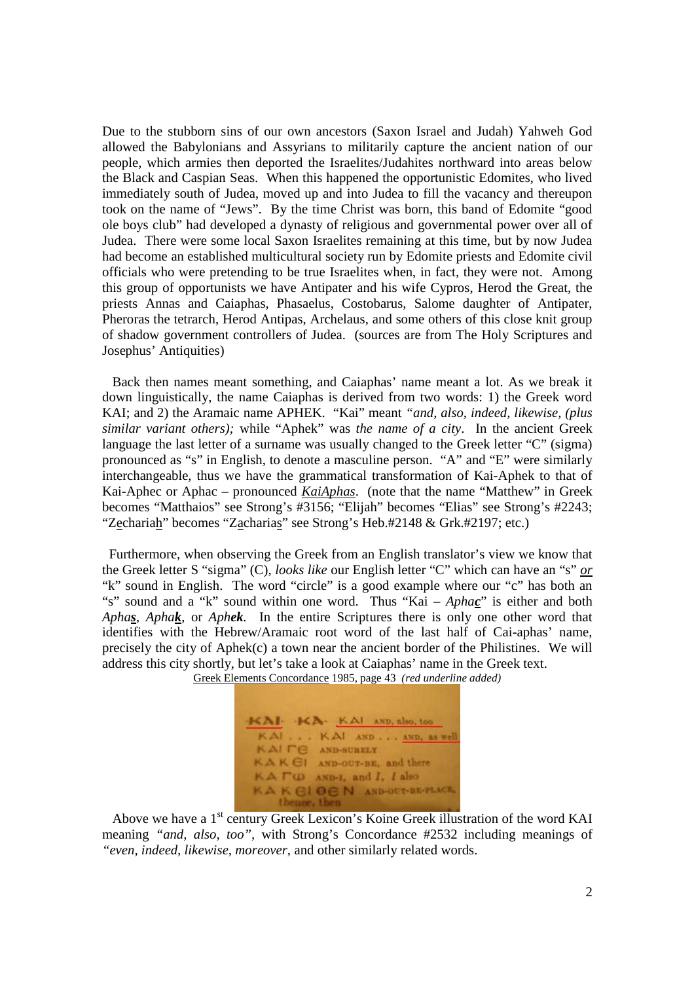Due to the stubborn sins of our own ancestors (Saxon Israel and Judah) Yahweh God allowed the Babylonians and Assyrians to militarily capture the ancient nation of our people, which armies then deported the Israelites/Judahites northward into areas below the Black and Caspian Seas. When this happened the opportunistic Edomites, who lived immediately south of Judea, moved up and into Judea to fill the vacancy and thereupon took on the name of "Jews". By the time Christ was born, this band of Edomite "good ole boys club" had developed a dynasty of religious and governmental power over all of Judea. There were some local Saxon Israelites remaining at this time, but by now Judea had become an established multicultural society run by Edomite priests and Edomite civil officials who were pretending to be true Israelites when, in fact, they were not. Among this group of opportunists we have Antipater and his wife Cypros, Herod the Great, the priests Annas and Caiaphas, Phasaelus, Costobarus, Salome daughter of Antipater, Pheroras the tetrarch, Herod Antipas, Archelaus, and some others of this close knit group of shadow government controllers of Judea. (sources are from The Holy Scriptures and Josephus' Antiquities)

Back then names meant something, and Caiaphas' name meant a lot. As we break it down linguistically, the name Caiaphas is derived from two words: 1) the Greek word KAI; and 2) the Aramaic name APHEK. "Kai" meant *"and, also, indeed, likewise, (plus similar variant others);* while "Aphek" was *the name of a city*. In the ancient Greek language the last letter of a surname was usually changed to the Greek letter "C" (sigma) pronounced as "s" in English, to denote a masculine person. "A" and "E" were similarly interchangeable, thus we have the grammatical transformation of Kai-Aphek to that of Kai-Aphec or Aphac – pronounced *KaiAphas*. (note that the name "Matthew" in Greek becomes "Matthaios" see Strong's #3156; "Elijah" becomes "Elias" see Strong's #2243; "Zechariah" becomes "Zacharias" see Strong's Heb.#2148 & Grk.#2197; etc.)

Furthermore, when observing the Greek from an English translator's view we know that the Greek letter S "sigma" (C), *looks like* our English letter "C" which can have an "s" *or* "k" sound in English. The word "circle" is a good example where our "c" has both an "s" sound and a "k" sound within one word. Thus "Kai – *Aphac*" is either and both *Aphas, Aphak*, or *Aphek.* In the entire Scriptures there is only one other word that identifies with the Hebrew/Aramaic root word of the last half of Cai-aphas' name, precisely the city of Aphek(c) a town near the ancient border of the Philistines. We will address this city shortly, but let's take a look at Caiaphas' name in the Greek text.



Greek Elements Concordance 1985, page 43 *(red underline added)*

Above we have a 1<sup>st</sup> century Greek Lexicon's Koine Greek illustration of the word KAI meaning *"and, also, too",* with Strong's Concordance #2532 including meanings of *"even, indeed, likewise, moreover,* and other similarly related words.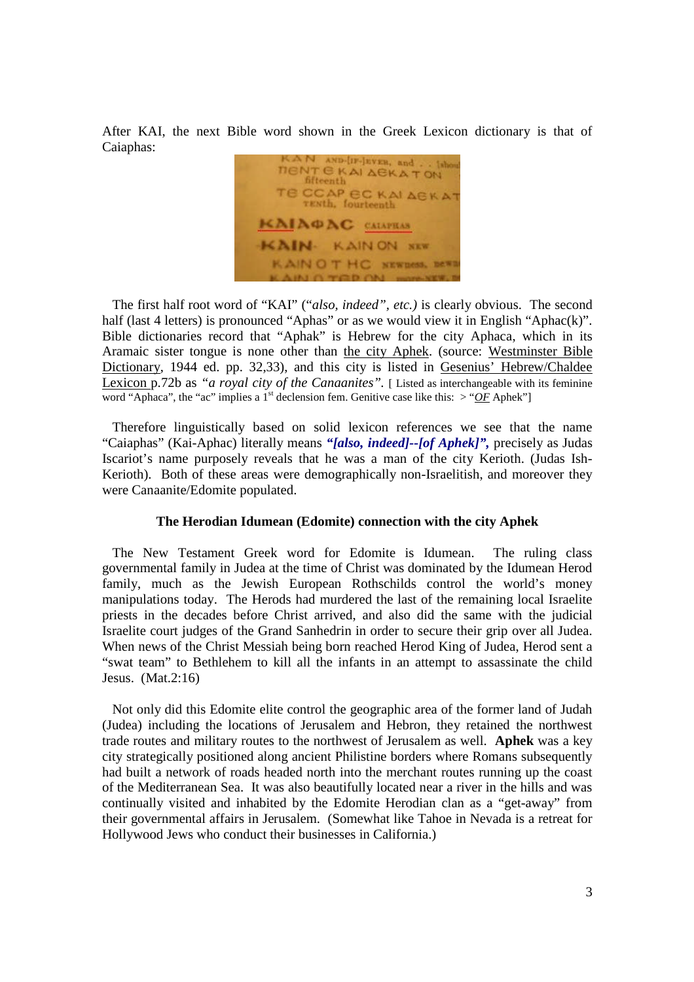After KAI, the next Bible word shown in the Greek Lexicon dictionary is that of Caiaphas:

N AND-IIF-JEVER, and . . isher **TIENT E KAI AEKA TON** fifteenth TE CCAP EC KAI AEKA' **TENth**, fourteenth **CAIAOAC** CALAPRAS **KAIN.** KAIN ON NEW **KAINOTHC SEWHEEL BEW** 

The first half root word of "KAI" ("*also, indeed", etc.)* is clearly obvious. The second half (last 4 letters) is pronounced "Aphas" or as we would view it in English "Aphac(k)". Bible dictionaries record that "Aphak" is Hebrew for the city Aphaca, which in its Aramaic sister tongue is none other than the city Aphek. (source: Westminster Bible Dictionary, 1944 ed. pp. 32,33), and this city is listed in Gesenius' Hebrew/Chaldee Lexicon p.72b as *"a royal city of the Canaanites"*. [Listed as interchangeable with its feminine word "Aphaca", the "ac" implies a  $1<sup>st</sup>$  declension fem. Genitive case like this:  $>$  "OF Aphek"]

Therefore linguistically based on solid lexicon references we see that the name "Caiaphas" (Kai-Aphac) literally means *"[also, indeed]--[of Aphek]",* precisely as Judas Iscariot's name purposely reveals that he was a man of the city Kerioth. (Judas Ish-Kerioth). Both of these areas were demographically non-Israelitish, and moreover they were Canaanite/Edomite populated.

## **The Herodian Idumean (Edomite) connection with the city Aphek**

The New Testament Greek word for Edomite is Idumean. The ruling class governmental family in Judea at the time of Christ was dominated by the Idumean Herod family, much as the Jewish European Rothschilds control the world's money manipulations today. The Herods had murdered the last of the remaining local Israelite priests in the decades before Christ arrived, and also did the same with the judicial Israelite court judges of the Grand Sanhedrin in order to secure their grip over all Judea. When news of the Christ Messiah being born reached Herod King of Judea, Herod sent a "swat team" to Bethlehem to kill all the infants in an attempt to assassinate the child Jesus. (Mat.2:16)

Not only did this Edomite elite control the geographic area of the former land of Judah (Judea) including the locations of Jerusalem and Hebron, they retained the northwest trade routes and military routes to the northwest of Jerusalem as well. **Aphek** was a key city strategically positioned along ancient Philistine borders where Romans subsequently had built a network of roads headed north into the merchant routes running up the coast of the Mediterranean Sea. It was also beautifully located near a river in the hills and was continually visited and inhabited by the Edomite Herodian clan as a "get-away" from their governmental affairs in Jerusalem. (Somewhat like Tahoe in Nevada is a retreat for Hollywood Jews who conduct their businesses in California.)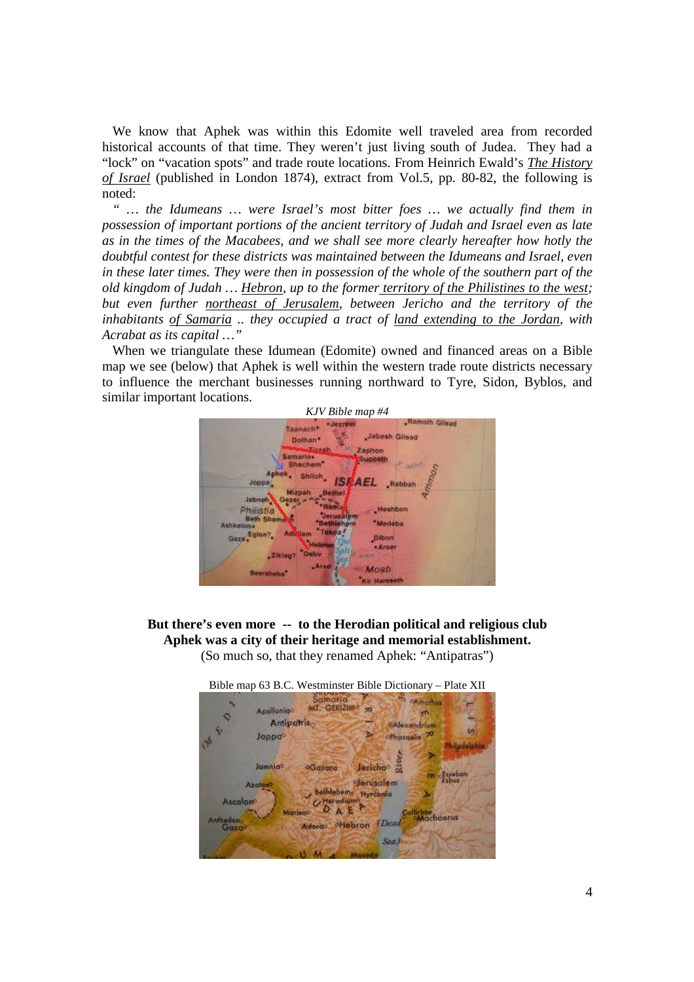We know that Aphek was within this Edomite well traveled area from recorded historical accounts of that time. They weren't just living south of Judea. They had a "lock" on "vacation spots" and trade route locations. From Heinrich Ewald's *The History of Israel* (published in London 1874), extract from Vol.5, pp. 80-82, the following is noted:

*" … the Idumeans … were Israel's most bitter foes … we actually find them in possession of important portions of the ancient territory of Judah and Israel even as late as in the times of the Macabees, and we shall see more clearly hereafter how hotly the doubtful contest for these districts was maintained between the Idumeans and Israel, even in these later times. They were then in possession of the whole of the southern part of the old kingdom of Judah … Hebron, up to the former territory of the Philistines to the west; but even further northeast of Jerusalem, between Jericho and the territory of the inhabitants of Samaria .. they occupied a tract of land extending to the Jordan, with Acrabat as its capital …"*

When we triangulate these Idumean (Edomite) owned and financed areas on a Bible map we see (below) that Aphek is well within the western trade route districts necessary to influence the merchant businesses running northward to Tyre, Sidon, Byblos, and similar important locations.



**But there's even more -- to the Herodian political and religious club Aphek was a city of their heritage and memorial establishment.** (So much so, that they renamed Aphek: "Antipatras")



4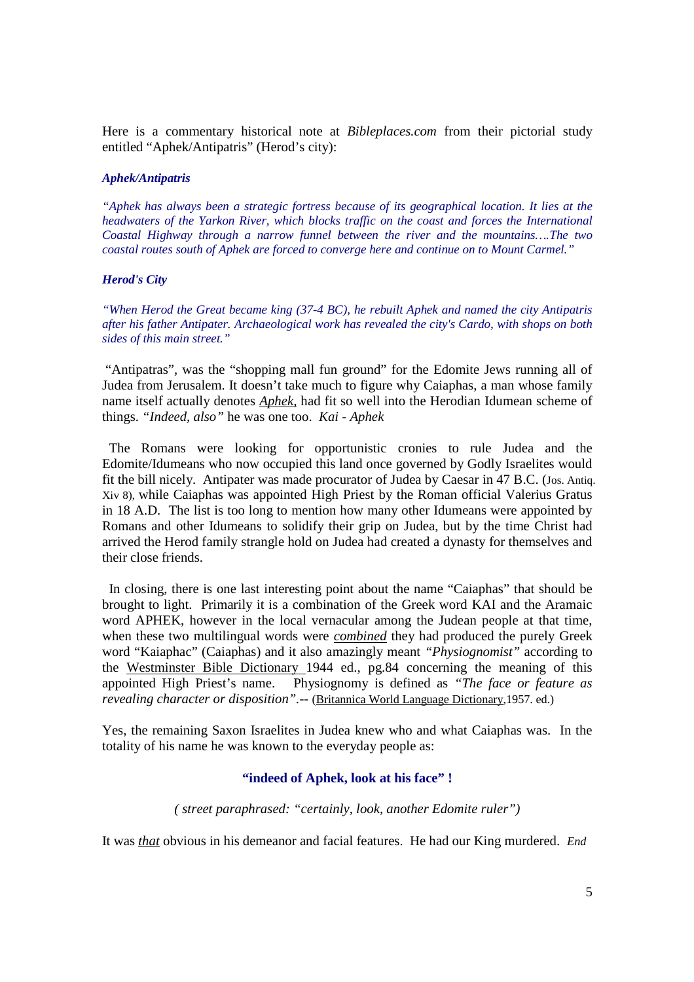Here is a commentary historical note at *Bibleplaces.com* from their pictorial study entitled "Aphek/Antipatris" (Herod's city):

#### *Aphek/Antipatris*

*"Aphek has always been a strategic fortress because of its geographical location. It lies at the headwaters of the Yarkon River, which blocks traffic on the coast and forces the International Coastal Highway through a narrow funnel between the river and the mountains….The two coastal routes south of Aphek are forced to converge here and continue on to Mount Carmel."*

## *Herod's City*

*"When Herod the Great became king (37-4 BC), he rebuilt Aphek and named the city Antipatris after his father Antipater. Archaeological work has revealed the city's Cardo, with shops on both sides of this main street."*

"Antipatras", was the "shopping mall fun ground" for the Edomite Jews running all of Judea from Jerusalem. It doesn't take much to figure why Caiaphas, a man whose family name itself actually denotes *Aphek,* had fit so well into the Herodian Idumean scheme of things. *"Indeed, also"* he was one too. *Kai - Aphek*

The Romans were looking for opportunistic cronies to rule Judea and the Edomite/Idumeans who now occupied this land once governed by Godly Israelites would fit the bill nicely. Antipater was made procurator of Judea by Caesar in 47 B.C. (Jos. Antiq. Xiv 8), while Caiaphas was appointed High Priest by the Roman official Valerius Gratus in 18 A.D. The list is too long to mention how many other Idumeans were appointed by Romans and other Idumeans to solidify their grip on Judea, but by the time Christ had arrived the Herod family strangle hold on Judea had created a dynasty for themselves and their close friends.

In closing, there is one last interesting point about the name "Caiaphas" that should be brought to light. Primarily it is a combination of the Greek word KAI and the Aramaic word APHEK, however in the local vernacular among the Judean people at that time, when these two multilingual words were *combined* they had produced the purely Greek word "Kaiaphac" (Caiaphas) and it also amazingly meant *"Physiognomist"* according to the Westminster Bible Dictionary 1944 ed., pg.84 concerning the meaning of this appointed High Priest's name. Physiognomy is defined as *"The face or feature as revealing character or disposition".--* (Britannica World Language Dictionary,1957. ed.)

Yes, the remaining Saxon Israelites in Judea knew who and what Caiaphas was. In the totality of his name he was known to the everyday people as:

## **"indeed of Aphek, look at his face" !**

*( street paraphrased: "certainly, look, another Edomite ruler")*

It was *that* obvious in his demeanor and facial features. He had our King murdered. *End*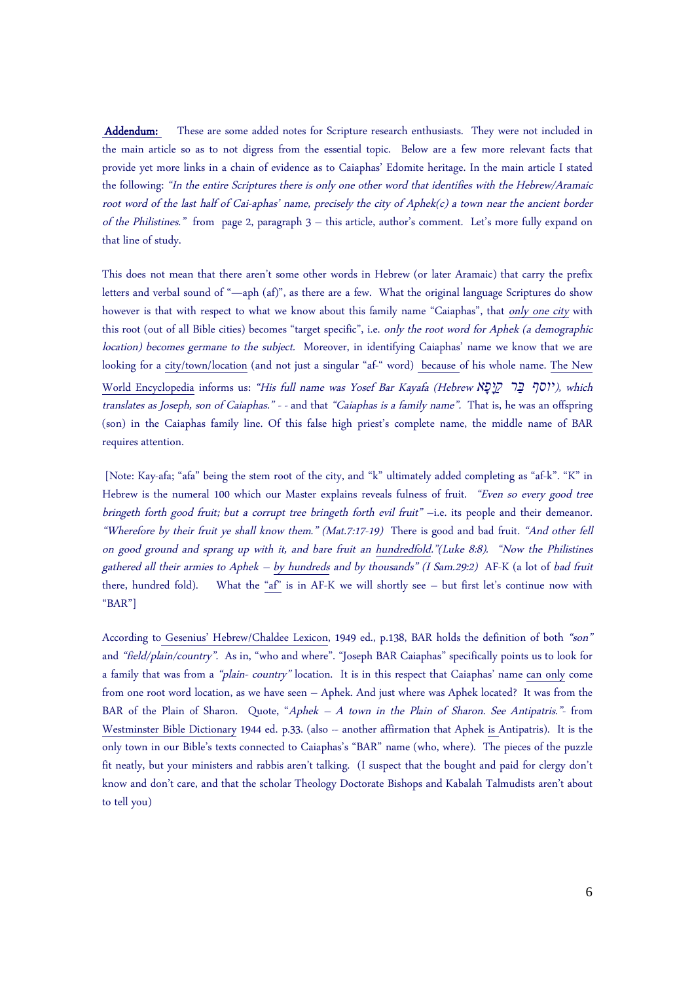Addendum: These are some added notes for Scripture research enthusiasts. They were not included in the main article so as to not digress from the essential topic. Below are a few more relevant facts that provide yet more links in a chain of evidence as to Caiaphas' Edomite heritage. In the main article I stated the following: "In the entire Scriptures there is only one other word that identifies with the Hebrew/Aramaic root word of the last half of Cai-aphas' name, precisely the city of Aphek(c) <sup>a</sup> town near the ancient border of the Philistines." from page 2, paragraph 3 – this article, author's comment. Let's more fully expand on that line of study.

This does not mean that there aren't some other words in Hebrew (or later Aramaic) that carry the prefix letters and verbal sound of "—aph (af)", as there are a few. What the original language Scriptures do show however is that with respect to what we know about this family name "Caiaphas", that only one city with this root (out of all Bible cities) becomes "target specific", i.e. only the root word for Aphek (a demographic location) becomes germane to the subject. Moreover, in identifying Caiaphas' name we know that we are looking for a city/town/location (and not just a singular "af-" word) because of his whole name. The New World Encyclopedia informs us: "His full name was Yosef Bar Kayafa (Hebrew *פאָ ּיָקַ רּבַ יוסף*(, which translates as Joseph, son of Caiaphas." - - and that "Caiaphas is <sup>a</sup> family name". That is, he was an offspring (son) in the Caiaphas family line. Of this false high priest's complete name, the middle name of BAR requires attention.

[Note: Kay-afa; "afa" being the stem root of the city, and "k" ultimately added completing as "af-k". "K" in Hebrew is the numeral 100 which our Master explains reveals fulness of fruit. "Even so every good tree bringeth forth good fruit; but <sup>a</sup> corrupt tree bringeth forth evil fruit" –i.e. its people and their demeanor. "Wherefore by their fruit ye shall know them." (Mat.7:17-19) There is good and bad fruit. "And other fell on good ground and sprang up with it, and bare fruit an hundredfold."(Luke 8:8). "Now the Philistines gathered all their armies to Aphek – by hundreds and by thousands" (I Sam.29:2) AF-K (a lot of bad fruit there, hundred fold). What the "af" is in AF-K we will shortly see – but first let's continue now with "BAR"]

According to Gesenius' Hebrew/Chaldee Lexicon, 1949 ed., p.138, BAR holds the definition of both "son" and "field/plain/country". As in, "who and where". "Joseph BAR Caiaphas" specifically points us to look for a family that was from a "plain- country" location. It is in this respect that Caiaphas' name can only come from one root word location, as we have seen – Aphek. And just where was Aphek located? It was from the BAR of the Plain of Sharon. Quote, "Aphek  $-A$  town in the Plain of Sharon. See Antipatris." from Westminster Bible Dictionary 1944 ed. p.33. (also -- another affirmation that Aphek is Antipatris). It is the only town in our Bible's texts connected to Caiaphas's "BAR" name (who, where). The pieces of the puzzle fit neatly, but your ministers and rabbis aren't talking. (I suspect that the bought and paid for clergy don't know and don't care, and that the scholar Theology Doctorate Bishops and Kabalah Talmudists aren't about to tell you)